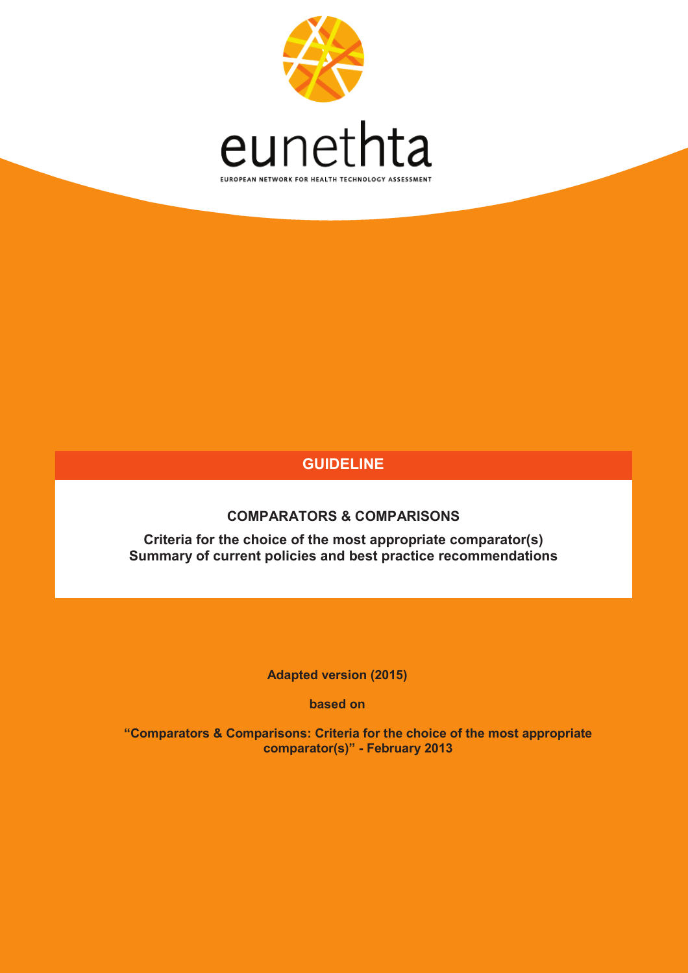

# **GUIDELINE**

**COMPARATORS & COMPARISONS**

**Criteria for the choice of the most appropriate comparator(s) Summary of current policies and best practice recommendations**

**Adapted version (2015)** 

**based on** 

**"Comparators & Comparisons: Criteria for the choice of the most appropriate comparator(s)" - February 2013**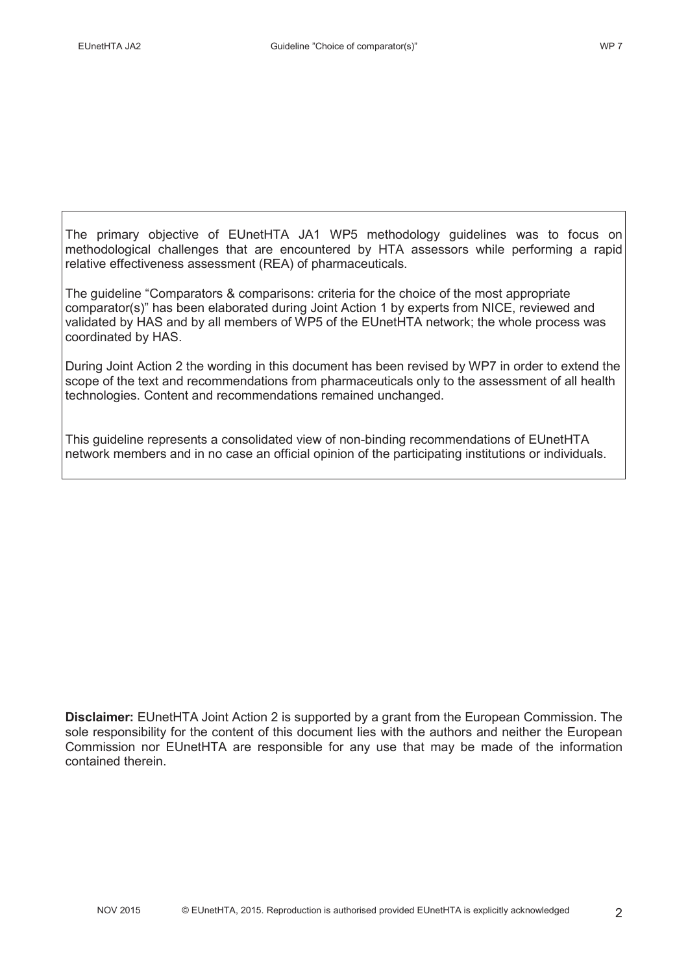The primary objective of EUnetHTA JA1 WP5 methodology guidelines was to focus on methodological challenges that are encountered by HTA assessors while performing a rapid relative effectiveness assessment (REA) of pharmaceuticals.

The guideline "Comparators & comparisons: criteria for the choice of the most appropriate comparator(s)" has been elaborated during Joint Action 1 by experts from NICE, reviewed and validated by HAS and by all members of WP5 of the EUnetHTA network; the whole process was coordinated by HAS.

During Joint Action 2 the wording in this document has been revised by WP7 in order to extend the scope of the text and recommendations from pharmaceuticals only to the assessment of all health technologies. Content and recommendations remained unchanged.

This guideline represents a consolidated view of non-binding recommendations of EUnetHTA network members and in no case an official opinion of the participating institutions or individuals.

**Disclaimer:** EUnetHTA Joint Action 2 is supported by a grant from the European Commission. The sole responsibility for the content of this document lies with the authors and neither the European Commission nor EUnetHTA are responsible for any use that may be made of the information contained therein.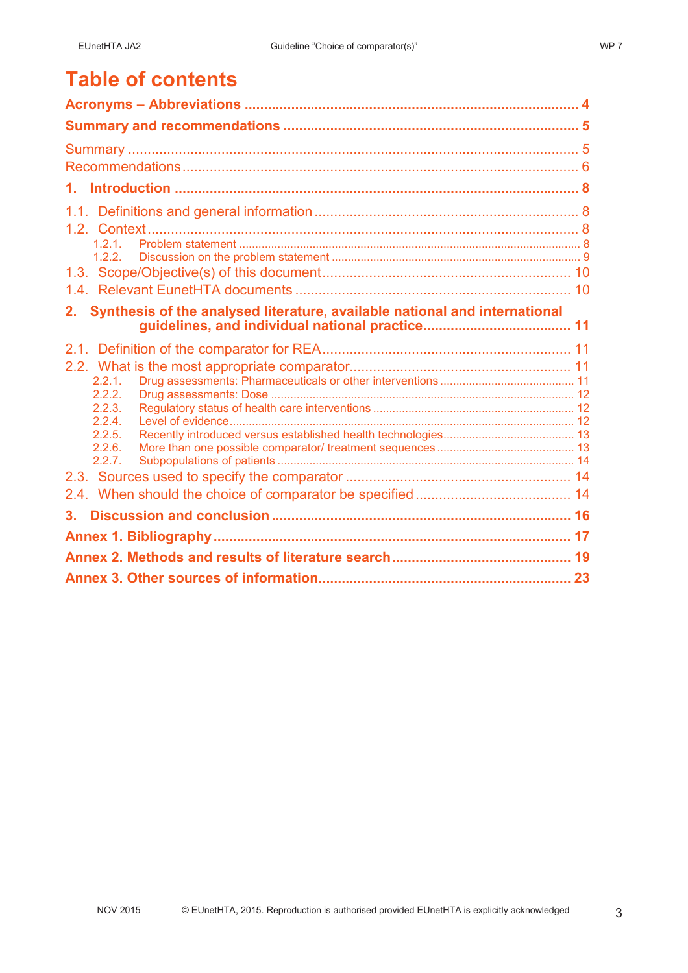# **Table of contents**

| 1.                                                                            |  |
|-------------------------------------------------------------------------------|--|
|                                                                               |  |
|                                                                               |  |
| 1.2.1                                                                         |  |
| 1.2.2                                                                         |  |
|                                                                               |  |
| 2. Synthesis of the analysed literature, available national and international |  |
|                                                                               |  |
|                                                                               |  |
|                                                                               |  |
| 2.2.1                                                                         |  |
| 2.2.2.<br>2.2.3.                                                              |  |
| 2.2.4                                                                         |  |
| 2.2.5.                                                                        |  |
| 2.2.6.<br>2.2.7.                                                              |  |
|                                                                               |  |
|                                                                               |  |
| 3.                                                                            |  |
|                                                                               |  |
|                                                                               |  |
|                                                                               |  |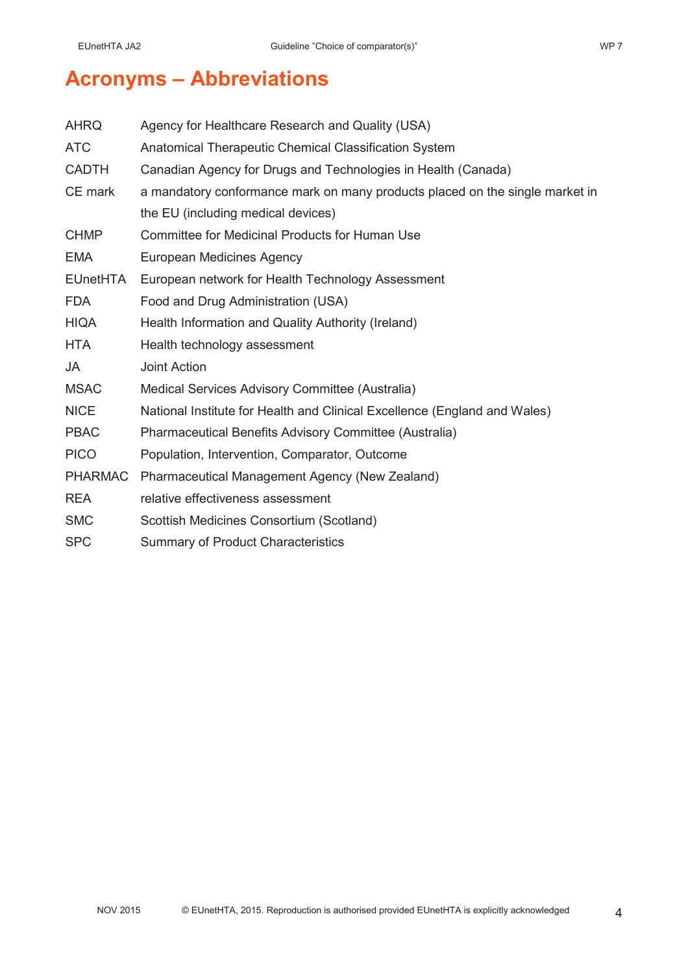# **Acronyms – Abbreviations**

| <b>AHRQ</b>     | Agency for Healthcare Research and Quality (USA)                             |  |  |
|-----------------|------------------------------------------------------------------------------|--|--|
| <b>ATC</b>      | Anatomical Therapeutic Chemical Classification System                        |  |  |
| <b>CADTH</b>    | Canadian Agency for Drugs and Technologies in Health (Canada)                |  |  |
| CE mark         | a mandatory conformance mark on many products placed on the single market in |  |  |
|                 | the EU (including medical devices)                                           |  |  |
| <b>CHMP</b>     | <b>Committee for Medicinal Products for Human Use</b>                        |  |  |
| <b>EMA</b>      | European Medicines Agency                                                    |  |  |
| <b>EUnetHTA</b> | European network for Health Technology Assessment                            |  |  |
| <b>FDA</b>      | Food and Drug Administration (USA)                                           |  |  |
| <b>HIQA</b>     | Health Information and Quality Authority (Ireland)                           |  |  |
| <b>HTA</b>      | Health technology assessment                                                 |  |  |
| <b>JA</b>       | <b>Joint Action</b>                                                          |  |  |
| <b>MSAC</b>     | Medical Services Advisory Committee (Australia)                              |  |  |
| <b>NICE</b>     | National Institute for Health and Clinical Excellence (England and Wales)    |  |  |
| <b>PBAC</b>     | Pharmaceutical Benefits Advisory Committee (Australia)                       |  |  |
| <b>PICO</b>     | Population, Intervention, Comparator, Outcome                                |  |  |
| <b>PHARMAC</b>  | Pharmaceutical Management Agency (New Zealand)                               |  |  |
| <b>REA</b>      | relative effectiveness assessment                                            |  |  |
| <b>SMC</b>      | Scottish Medicines Consortium (Scotland)                                     |  |  |
| <b>SPC</b>      | <b>Summary of Product Characteristics</b>                                    |  |  |
|                 |                                                                              |  |  |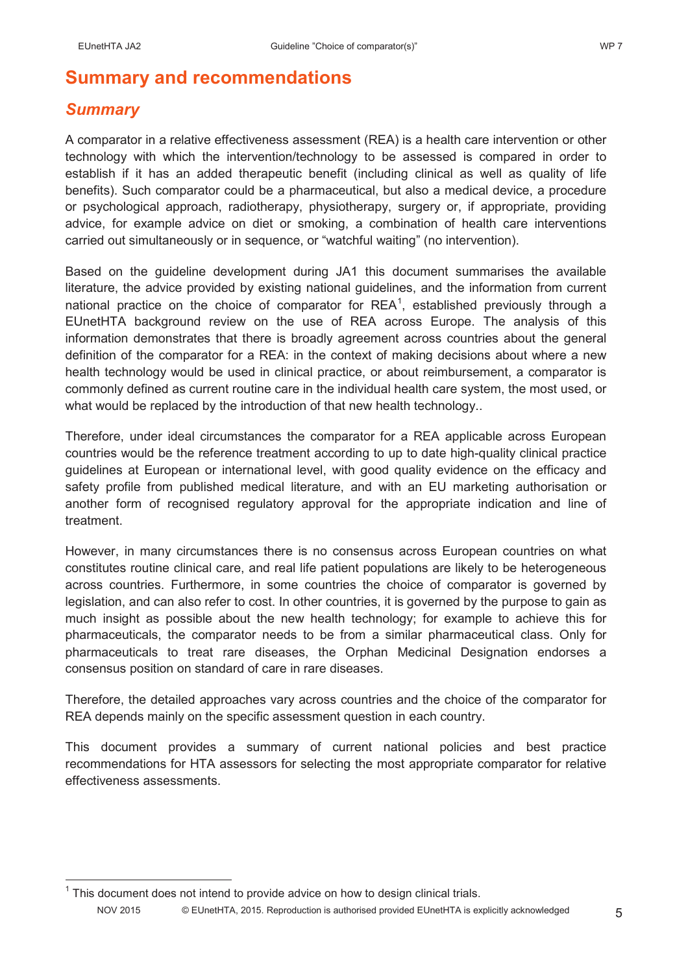# **Summary and recommendations**

# *Summary*

A comparator in a relative effectiveness assessment (REA) is a health care intervention or other technology with which the intervention/technology to be assessed is compared in order to establish if it has an added therapeutic benefit (including clinical as well as quality of life benefits). Such comparator could be a pharmaceutical, but also a medical device, a procedure or psychological approach, radiotherapy, physiotherapy, surgery or, if appropriate, providing advice, for example advice on diet or smoking, a combination of health care interventions carried out simultaneously or in sequence, or "watchful waiting" (no intervention).

Based on the guideline development during JA1 this document summarises the available literature, the advice provided by existing national guidelines, and the information from current national practice on the choice of comparator for  $REA<sup>1</sup>$ , established previously through a EUnetHTA background review on the use of REA across Europe. The analysis of this information demonstrates that there is broadly agreement across countries about the general definition of the comparator for a REA: in the context of making decisions about where a new health technology would be used in clinical practice, or about reimbursement, a comparator is commonly defined as current routine care in the individual health care system, the most used, or what would be replaced by the introduction of that new health technology..

Therefore, under ideal circumstances the comparator for a REA applicable across European countries would be the reference treatment according to up to date high-quality clinical practice guidelines at European or international level, with good quality evidence on the efficacy and safety profile from published medical literature, and with an EU marketing authorisation or another form of recognised regulatory approval for the appropriate indication and line of treatment.

However, in many circumstances there is no consensus across European countries on what constitutes routine clinical care, and real life patient populations are likely to be heterogeneous across countries. Furthermore, in some countries the choice of comparator is governed by legislation, and can also refer to cost. In other countries, it is governed by the purpose to gain as much insight as possible about the new health technology; for example to achieve this for pharmaceuticals, the comparator needs to be from a similar pharmaceutical class. Only for pharmaceuticals to treat rare diseases, the Orphan Medicinal Designation endorses a consensus position on standard of care in rare diseases.

Therefore, the detailed approaches vary across countries and the choice of the comparator for REA depends mainly on the specific assessment question in each country.

This document provides a summary of current national policies and best practice recommendations for HTA assessors for selecting the most appropriate comparator for relative effectiveness assessments.

NOV 2015 © EUnetHTA, 2015. Reproduction is authorised provided EUnetHTA is explicitly acknowledged 5 1 This document does not intend to provide advice on how to design clinical trials.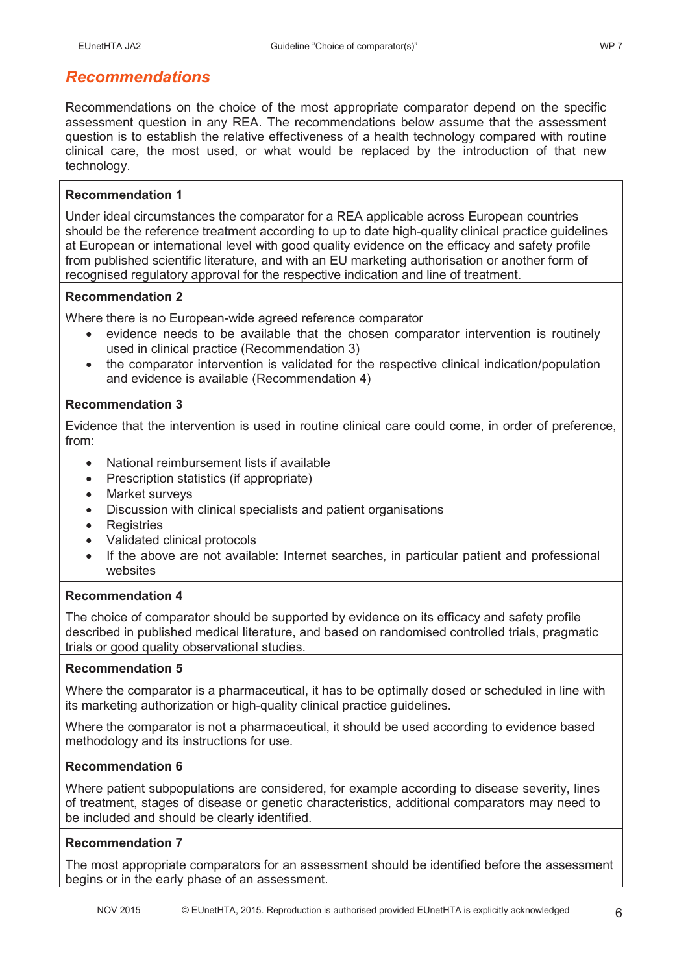# *Recommendations*

Recommendations on the choice of the most appropriate comparator depend on the specific assessment question in any REA. The recommendations below assume that the assessment question is to establish the relative effectiveness of a health technology compared with routine clinical care, the most used, or what would be replaced by the introduction of that new technology.

## **Recommendation 1**

Under ideal circumstances the comparator for a REA applicable across European countries should be the reference treatment according to up to date high-quality clinical practice guidelines at European or international level with good quality evidence on the efficacy and safety profile from published scientific literature, and with an EU marketing authorisation or another form of recognised regulatory approval for the respective indication and line of treatment.

## **Recommendation 2**

Where there is no European-wide agreed reference comparator

- evidence needs to be available that the chosen comparator intervention is routinely used in clinical practice (Recommendation 3)
- the comparator intervention is validated for the respective clinical indication/population and evidence is available (Recommendation 4)

## **Recommendation 3**

Evidence that the intervention is used in routine clinical care could come, in order of preference, from:

- National reimbursement lists if available
- Prescription statistics (if appropriate)
- Market surveys
- Discussion with clinical specialists and patient organisations
- Registries
- Validated clinical protocols
- If the above are not available: Internet searches, in particular patient and professional websites

## **Recommendation 4**

The choice of comparator should be supported by evidence on its efficacy and safety profile described in published medical literature, and based on randomised controlled trials, pragmatic trials or good quality observational studies.

### **Recommendation 5**

Where the comparator is a pharmaceutical, it has to be optimally dosed or scheduled in line with its marketing authorization or high-quality clinical practice guidelines.

Where the comparator is not a pharmaceutical, it should be used according to evidence based methodology and its instructions for use.

### **Recommendation 6**

Where patient subpopulations are considered, for example according to disease severity, lines of treatment, stages of disease or genetic characteristics, additional comparators may need to be included and should be clearly identified.

## **Recommendation 7**

The most appropriate comparators for an assessment should be identified before the assessment begins or in the early phase of an assessment.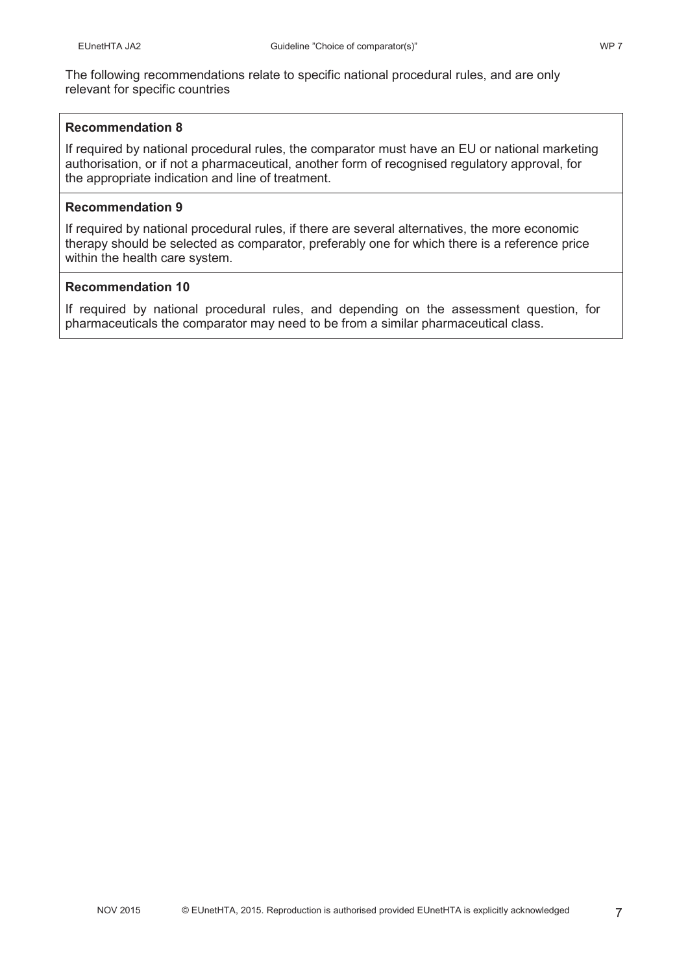The following recommendations relate to specific national procedural rules, and are only relevant for specific countries

#### **Recommendation 8**

If required by national procedural rules, the comparator must have an EU or national marketing authorisation, or if not a pharmaceutical, another form of recognised regulatory approval, for the appropriate indication and line of treatment.

#### **Recommendation 9**

If required by national procedural rules, if there are several alternatives, the more economic therapy should be selected as comparator, preferably one for which there is a reference price within the health care system.

### **Recommendation 10**

If required by national procedural rules, and depending on the assessment question, for pharmaceuticals the comparator may need to be from a similar pharmaceutical class.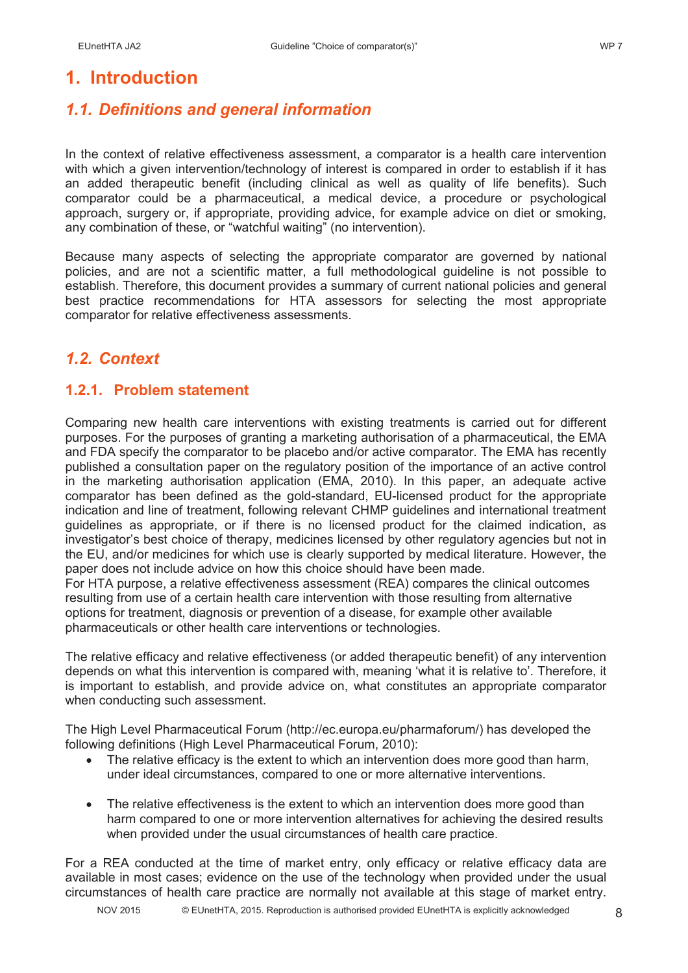# **1. Introduction**

# *1.1. Definitions and general information*

In the context of relative effectiveness assessment, a comparator is a health care intervention with which a given intervention/technology of interest is compared in order to establish if it has an added therapeutic benefit (including clinical as well as quality of life benefits). Such comparator could be a pharmaceutical, a medical device, a procedure or psychological approach, surgery or, if appropriate, providing advice, for example advice on diet or smoking, any combination of these, or "watchful waiting" (no intervention).

Because many aspects of selecting the appropriate comparator are governed by national policies, and are not a scientific matter, a full methodological guideline is not possible to establish. Therefore, this document provides a summary of current national policies and general best practice recommendations for HTA assessors for selecting the most appropriate comparator for relative effectiveness assessments.

# *1.2. Context*

## **1.2.1. Problem statement**

Comparing new health care interventions with existing treatments is carried out for different purposes. For the purposes of granting a marketing authorisation of a pharmaceutical, the EMA and FDA specify the comparator to be placebo and/or active comparator. The EMA has recently published a consultation paper on the regulatory position of the importance of an active control in the marketing authorisation application (EMA, 2010). In this paper, an adequate active comparator has been defined as the gold-standard, EU-licensed product for the appropriate indication and line of treatment, following relevant CHMP guidelines and international treatment guidelines as appropriate, or if there is no licensed product for the claimed indication, as investigator's best choice of therapy, medicines licensed by other regulatory agencies but not in the EU, and/or medicines for which use is clearly supported by medical literature. However, the paper does not include advice on how this choice should have been made.

For HTA purpose, a relative effectiveness assessment (REA) compares the clinical outcomes resulting from use of a certain health care intervention with those resulting from alternative options for treatment, diagnosis or prevention of a disease, for example other available pharmaceuticals or other health care interventions or technologies.

The relative efficacy and relative effectiveness (or added therapeutic benefit) of any intervention depends on what this intervention is compared with, meaning 'what it is relative to'. Therefore, it is important to establish, and provide advice on, what constitutes an appropriate comparator when conducting such assessment.

The High Level Pharmaceutical Forum (http://ec.europa.eu/pharmaforum/) has developed the following definitions (High Level Pharmaceutical Forum, 2010):

- The relative efficacy is the extent to which an intervention does more good than harm, under ideal circumstances, compared to one or more alternative interventions.
- The relative effectiveness is the extent to which an intervention does more good than harm compared to one or more intervention alternatives for achieving the desired results when provided under the usual circumstances of health care practice.

For a REA conducted at the time of market entry, only efficacy or relative efficacy data are available in most cases; evidence on the use of the technology when provided under the usual circumstances of health care practice are normally not available at this stage of market entry.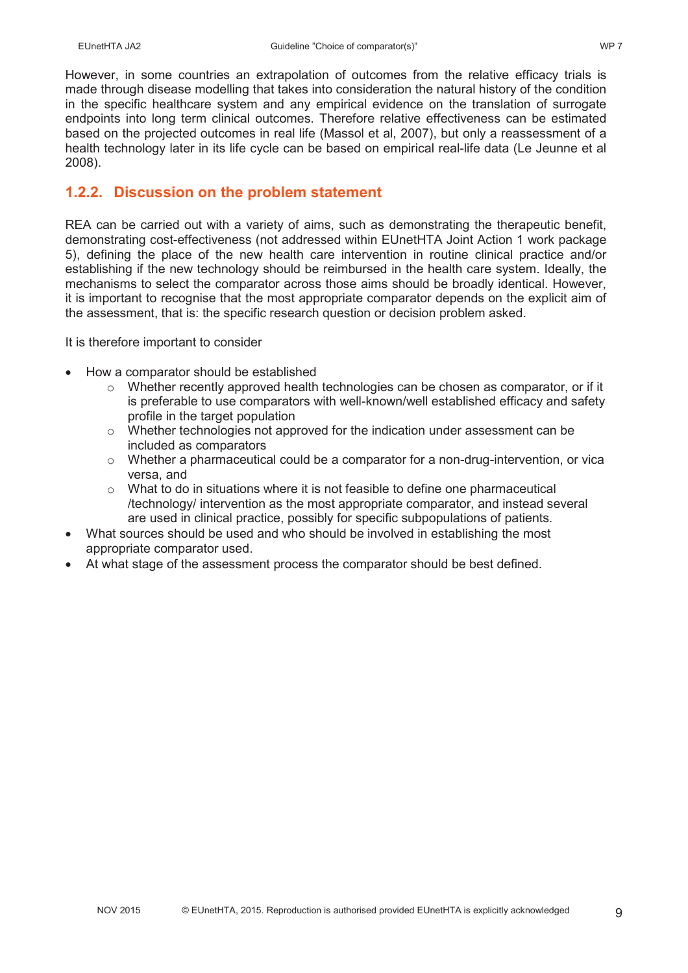However, in some countries an extrapolation of outcomes from the relative efficacy trials is made through disease modelling that takes into consideration the natural history of the condition in the specific healthcare system and any empirical evidence on the translation of surrogate endpoints into long term clinical outcomes. Therefore relative effectiveness can be estimated based on the projected outcomes in real life (Massol et al, 2007), but only a reassessment of a health technology later in its life cycle can be based on empirical real-life data (Le Jeunne et al 2008).

## **1.2.2. Discussion on the problem statement**

REA can be carried out with a variety of aims, such as demonstrating the therapeutic benefit, demonstrating cost-effectiveness (not addressed within EUnetHTA Joint Action 1 work package 5), defining the place of the new health care intervention in routine clinical practice and/or establishing if the new technology should be reimbursed in the health care system. Ideally, the mechanisms to select the comparator across those aims should be broadly identical. However, it is important to recognise that the most appropriate comparator depends on the explicit aim of the assessment, that is: the specific research question or decision problem asked.

It is therefore important to consider

- How a comparator should be established
	- $\circ$  Whether recently approved health technologies can be chosen as comparator, or if it is preferable to use comparators with well-known/well established efficacy and safety profile in the target population
	- $\circ$  Whether technologies not approved for the indication under assessment can be included as comparators
	- $\circ$  Whether a pharmaceutical could be a comparator for a non-drug-intervention, or vica versa, and
	- $\circ$  What to do in situations where it is not feasible to define one pharmaceutical /technology/ intervention as the most appropriate comparator, and instead several are used in clinical practice, possibly for specific subpopulations of patients.
- What sources should be used and who should be involved in establishing the most appropriate comparator used.
- At what stage of the assessment process the comparator should be best defined.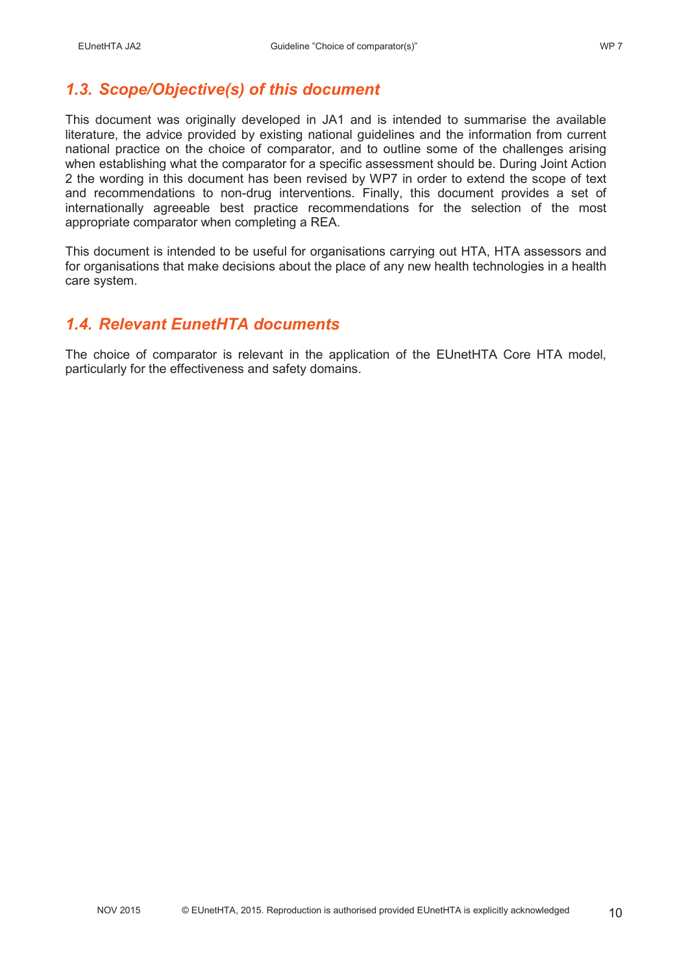# *1.3. Scope/Objective(s) of this document*

This document was originally developed in JA1 and is intended to summarise the available literature, the advice provided by existing national guidelines and the information from current national practice on the choice of comparator, and to outline some of the challenges arising when establishing what the comparator for a specific assessment should be. During Joint Action 2 the wording in this document has been revised by WP7 in order to extend the scope of text and recommendations to non-drug interventions. Finally, this document provides a set of internationally agreeable best practice recommendations for the selection of the most appropriate comparator when completing a REA.

This document is intended to be useful for organisations carrying out HTA, HTA assessors and for organisations that make decisions about the place of any new health technologies in a health care system.

## *1.4. Relevant EunetHTA documents*

The choice of comparator is relevant in the application of the EUnetHTA Core HTA model, particularly for the effectiveness and safety domains.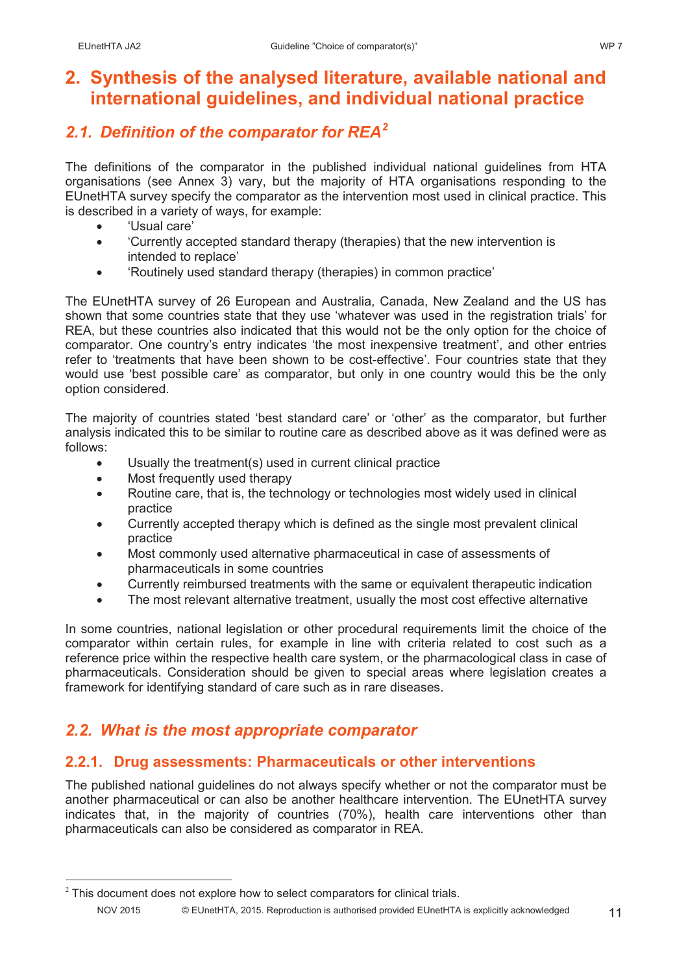# **2. Synthesis of the analysed literature, available national and international guidelines, and individual national practice**

# *2.1. Definition of the comparator for REA<sup>2</sup>*

The definitions of the comparator in the published individual national guidelines from HTA organisations (see Annex 3) vary, but the majority of HTA organisations responding to the EUnetHTA survey specify the comparator as the intervention most used in clinical practice. This is described in a variety of ways, for example:

- 'Usual care'
- Currently accepted standard therapy (therapies) that the new intervention is intended to replace'
- 'Routinely used standard therapy (therapies) in common practice'

The EUnetHTA survey of 26 European and Australia, Canada, New Zealand and the US has shown that some countries state that they use 'whatever was used in the registration trials' for REA, but these countries also indicated that this would not be the only option for the choice of comparator. One country's entry indicates 'the most inexpensive treatment', and other entries refer to 'treatments that have been shown to be cost-effective'. Four countries state that they would use 'best possible care' as comparator, but only in one country would this be the only option considered.

The majority of countries stated 'best standard care' or 'other' as the comparator, but further analysis indicated this to be similar to routine care as described above as it was defined were as follows:

- Usually the treatment(s) used in current clinical practice
- Most frequently used therapy
- Routine care, that is, the technology or technologies most widely used in clinical practice
- Currently accepted therapy which is defined as the single most prevalent clinical practice
- Most commonly used alternative pharmaceutical in case of assessments of pharmaceuticals in some countries
- Currently reimbursed treatments with the same or equivalent therapeutic indication
- The most relevant alternative treatment, usually the most cost effective alternative

In some countries, national legislation or other procedural requirements limit the choice of the comparator within certain rules, for example in line with criteria related to cost such as a reference price within the respective health care system, or the pharmacological class in case of pharmaceuticals. Consideration should be given to special areas where legislation creates a framework for identifying standard of care such as in rare diseases.

# *2.2. What is the most appropriate comparator*

## **2.2.1. Drug assessments: Pharmaceuticals or other interventions**

The published national guidelines do not always specify whether or not the comparator must be another pharmaceutical or can also be another healthcare intervention. The EUnetHTA survey indicates that, in the majority of countries (70%), health care interventions other than pharmaceuticals can also be considered as comparator in REA.

NOV 2015 © EUnetHTA, 2015. Reproduction is authorised provided EUnetHTA is explicitly acknowledged 11  $2$  This document does not explore how to select comparators for clinical trials.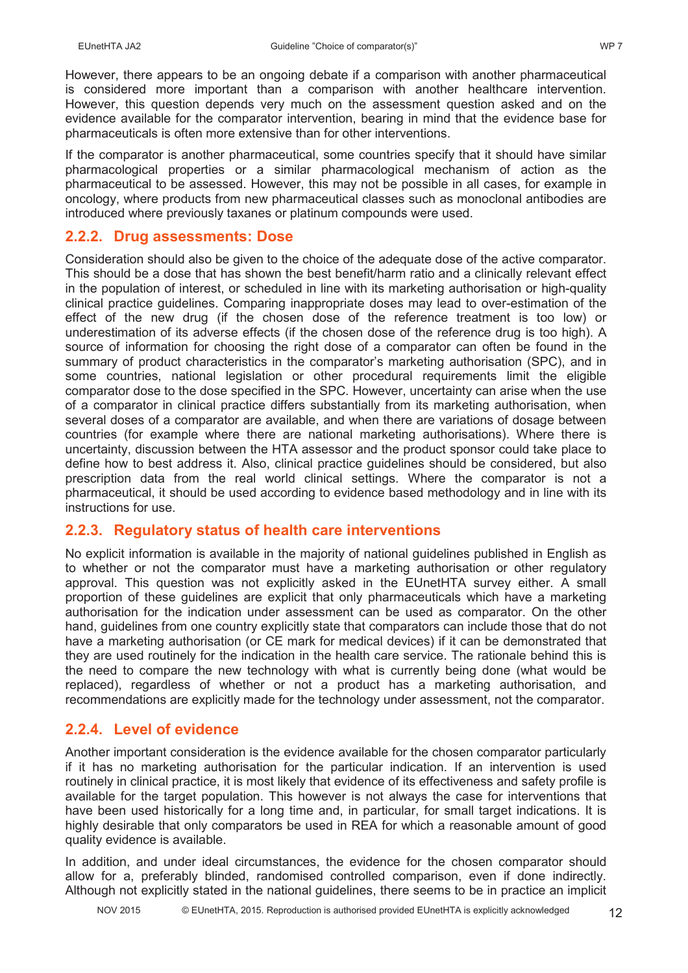However, there appears to be an ongoing debate if a comparison with another pharmaceutical is considered more important than a comparison with another healthcare intervention. However, this question depends very much on the assessment question asked and on the evidence available for the comparator intervention, bearing in mind that the evidence base for pharmaceuticals is often more extensive than for other interventions.

If the comparator is another pharmaceutical, some countries specify that it should have similar pharmacological properties or a similar pharmacological mechanism of action as the pharmaceutical to be assessed. However, this may not be possible in all cases, for example in oncology, where products from new pharmaceutical classes such as monoclonal antibodies are introduced where previously taxanes or platinum compounds were used.

## **2.2.2. Drug assessments: Dose**

Consideration should also be given to the choice of the adequate dose of the active comparator. This should be a dose that has shown the best benefit/harm ratio and a clinically relevant effect in the population of interest, or scheduled in line with its marketing authorisation or high-quality clinical practice guidelines. Comparing inappropriate doses may lead to over-estimation of the effect of the new drug (if the chosen dose of the reference treatment is too low) or underestimation of its adverse effects (if the chosen dose of the reference drug is too high). A source of information for choosing the right dose of a comparator can often be found in the summary of product characteristics in the comparator's marketing authorisation (SPC), and in some countries, national legislation or other procedural requirements limit the eligible comparator dose to the dose specified in the SPC. However, uncertainty can arise when the use of a comparator in clinical practice differs substantially from its marketing authorisation, when several doses of a comparator are available, and when there are variations of dosage between countries (for example where there are national marketing authorisations). Where there is uncertainty, discussion between the HTA assessor and the product sponsor could take place to define how to best address it. Also, clinical practice guidelines should be considered, but also prescription data from the real world clinical settings. Where the comparator is not a pharmaceutical, it should be used according to evidence based methodology and in line with its instructions for use.

## **2.2.3. Regulatory status of health care interventions**

No explicit information is available in the majority of national guidelines published in English as to whether or not the comparator must have a marketing authorisation or other regulatory approval. This question was not explicitly asked in the EUnetHTA survey either. A small proportion of these guidelines are explicit that only pharmaceuticals which have a marketing authorisation for the indication under assessment can be used as comparator. On the other hand, guidelines from one country explicitly state that comparators can include those that do not have a marketing authorisation (or CE mark for medical devices) if it can be demonstrated that they are used routinely for the indication in the health care service. The rationale behind this is the need to compare the new technology with what is currently being done (what would be replaced), regardless of whether or not a product has a marketing authorisation, and recommendations are explicitly made for the technology under assessment, not the comparator.

## **2.2.4. Level of evidence**

Another important consideration is the evidence available for the chosen comparator particularly if it has no marketing authorisation for the particular indication. If an intervention is used routinely in clinical practice, it is most likely that evidence of its effectiveness and safety profile is available for the target population. This however is not always the case for interventions that have been used historically for a long time and, in particular, for small target indications. It is highly desirable that only comparators be used in REA for which a reasonable amount of good quality evidence is available.

In addition, and under ideal circumstances, the evidence for the chosen comparator should allow for a, preferably blinded, randomised controlled comparison, even if done indirectly. Although not explicitly stated in the national guidelines, there seems to be in practice an implicit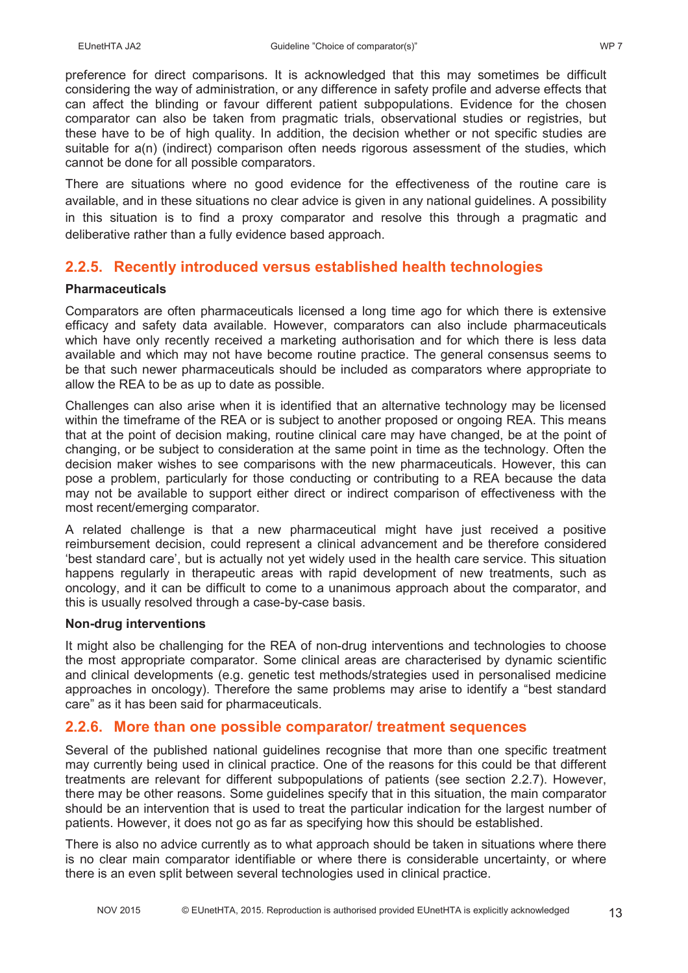preference for direct comparisons. It is acknowledged that this may sometimes be difficult considering the way of administration, or any difference in safety profile and adverse effects that can affect the blinding or favour different patient subpopulations. Evidence for the chosen comparator can also be taken from pragmatic trials, observational studies or registries, but these have to be of high quality. In addition, the decision whether or not specific studies are suitable for a(n) (indirect) comparison often needs rigorous assessment of the studies, which cannot be done for all possible comparators.

There are situations where no good evidence for the effectiveness of the routine care is available, and in these situations no clear advice is given in any national guidelines. A possibility in this situation is to find a proxy comparator and resolve this through a pragmatic and deliberative rather than a fully evidence based approach.

## **2.2.5. Recently introduced versus established health technologies**

### **Pharmaceuticals**

Comparators are often pharmaceuticals licensed a long time ago for which there is extensive efficacy and safety data available. However, comparators can also include pharmaceuticals which have only recently received a marketing authorisation and for which there is less data available and which may not have become routine practice. The general consensus seems to be that such newer pharmaceuticals should be included as comparators where appropriate to allow the REA to be as up to date as possible.

Challenges can also arise when it is identified that an alternative technology may be licensed within the timeframe of the REA or is subject to another proposed or ongoing REA. This means that at the point of decision making, routine clinical care may have changed, be at the point of changing, or be subject to consideration at the same point in time as the technology. Often the decision maker wishes to see comparisons with the new pharmaceuticals. However, this can pose a problem, particularly for those conducting or contributing to a REA because the data may not be available to support either direct or indirect comparison of effectiveness with the most recent/emerging comparator.

A related challenge is that a new pharmaceutical might have just received a positive reimbursement decision, could represent a clinical advancement and be therefore considered 'best standard care', but is actually not yet widely used in the health care service. This situation happens regularly in therapeutic areas with rapid development of new treatments, such as oncology, and it can be difficult to come to a unanimous approach about the comparator, and this is usually resolved through a case-by-case basis.

#### **Non-drug interventions**

It might also be challenging for the REA of non-drug interventions and technologies to choose the most appropriate comparator. Some clinical areas are characterised by dynamic scientific and clinical developments (e.g. genetic test methods/strategies used in personalised medicine approaches in oncology). Therefore the same problems may arise to identify a "best standard care" as it has been said for pharmaceuticals.

### **2.2.6. More than one possible comparator/ treatment sequences**

Several of the published national guidelines recognise that more than one specific treatment may currently being used in clinical practice. One of the reasons for this could be that different treatments are relevant for different subpopulations of patients (see section 2.2.7). However, there may be other reasons. Some guidelines specify that in this situation, the main comparator should be an intervention that is used to treat the particular indication for the largest number of patients. However, it does not go as far as specifying how this should be established.

There is also no advice currently as to what approach should be taken in situations where there is no clear main comparator identifiable or where there is considerable uncertainty, or where there is an even split between several technologies used in clinical practice.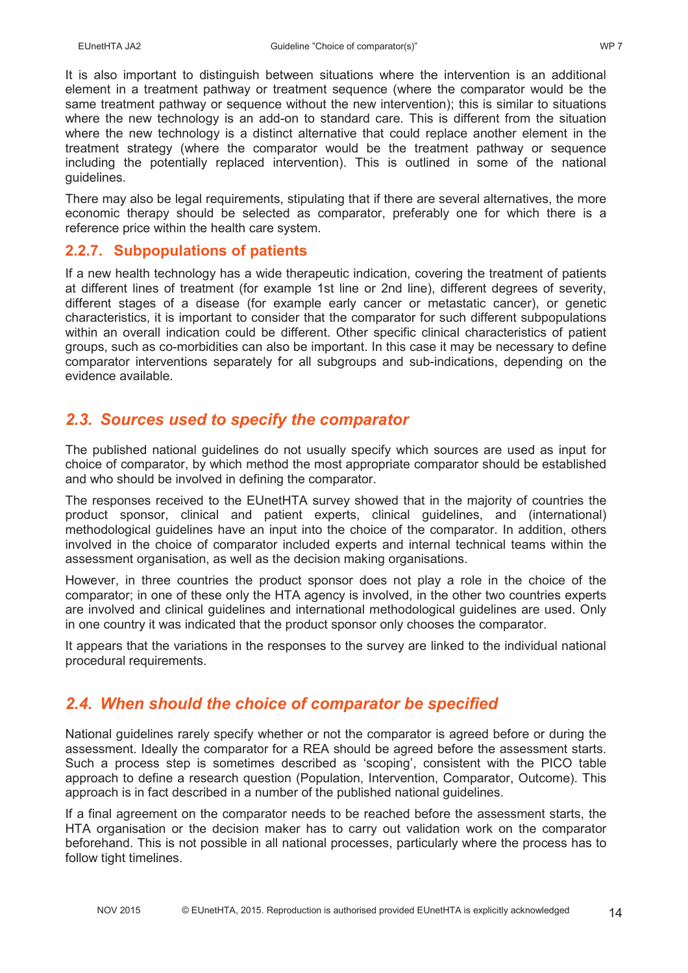It is also important to distinguish between situations where the intervention is an additional element in a treatment pathway or treatment sequence (where the comparator would be the same treatment pathway or sequence without the new intervention); this is similar to situations where the new technology is an add-on to standard care. This is different from the situation where the new technology is a distinct alternative that could replace another element in the treatment strategy (where the comparator would be the treatment pathway or sequence including the potentially replaced intervention). This is outlined in some of the national guidelines.

There may also be legal requirements, stipulating that if there are several alternatives, the more economic therapy should be selected as comparator, preferably one for which there is a reference price within the health care system.

## **2.2.7. Subpopulations of patients**

If a new health technology has a wide therapeutic indication, covering the treatment of patients at different lines of treatment (for example 1st line or 2nd line), different degrees of severity, different stages of a disease (for example early cancer or metastatic cancer), or genetic characteristics, it is important to consider that the comparator for such different subpopulations within an overall indication could be different. Other specific clinical characteristics of patient groups, such as co-morbidities can also be important. In this case it may be necessary to define comparator interventions separately for all subgroups and sub-indications, depending on the evidence available.

# *2.3. Sources used to specify the comparator*

The published national guidelines do not usually specify which sources are used as input for choice of comparator, by which method the most appropriate comparator should be established and who should be involved in defining the comparator.

The responses received to the EUnetHTA survey showed that in the majority of countries the product sponsor, clinical and patient experts, clinical guidelines, and (international) methodological guidelines have an input into the choice of the comparator. In addition, others involved in the choice of comparator included experts and internal technical teams within the assessment organisation, as well as the decision making organisations.

However, in three countries the product sponsor does not play a role in the choice of the comparator; in one of these only the HTA agency is involved, in the other two countries experts are involved and clinical guidelines and international methodological guidelines are used. Only in one country it was indicated that the product sponsor only chooses the comparator.

It appears that the variations in the responses to the survey are linked to the individual national procedural requirements.

# *2.4. When should the choice of comparator be specified*

National guidelines rarely specify whether or not the comparator is agreed before or during the assessment. Ideally the comparator for a REA should be agreed before the assessment starts. Such a process step is sometimes described as 'scoping', consistent with the PICO table approach to define a research question (Population, Intervention, Comparator, Outcome). This approach is in fact described in a number of the published national guidelines.

If a final agreement on the comparator needs to be reached before the assessment starts, the HTA organisation or the decision maker has to carry out validation work on the comparator beforehand. This is not possible in all national processes, particularly where the process has to follow tight timelines.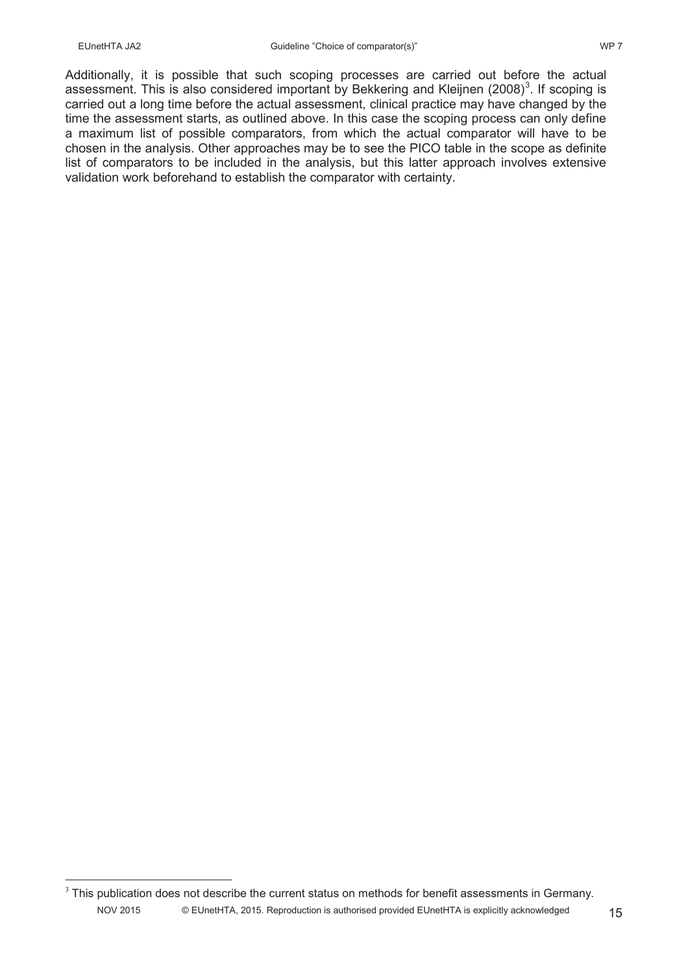Additionally, it is possible that such scoping processes are carried out before the actual assessment. This is also considered important by Bekkering and Kleijnen (2008)<sup>3</sup>. If scoping is carried out a long time before the actual assessment, clinical practice may have changed by the time the assessment starts, as outlined above. In this case the scoping process can only define a maximum list of possible comparators, from which the actual comparator will have to be chosen in the analysis. Other approaches may be to see the PICO table in the scope as definite list of comparators to be included in the analysis, but this latter approach involves extensive validation work beforehand to establish the comparator with certainty.

NOV 2015 © EUnetHTA, 2015. Reproduction is authorised provided EUnetHTA is explicitly acknowledged 15  $3$  This publication does not describe the current status on methods for benefit assessments in Germany.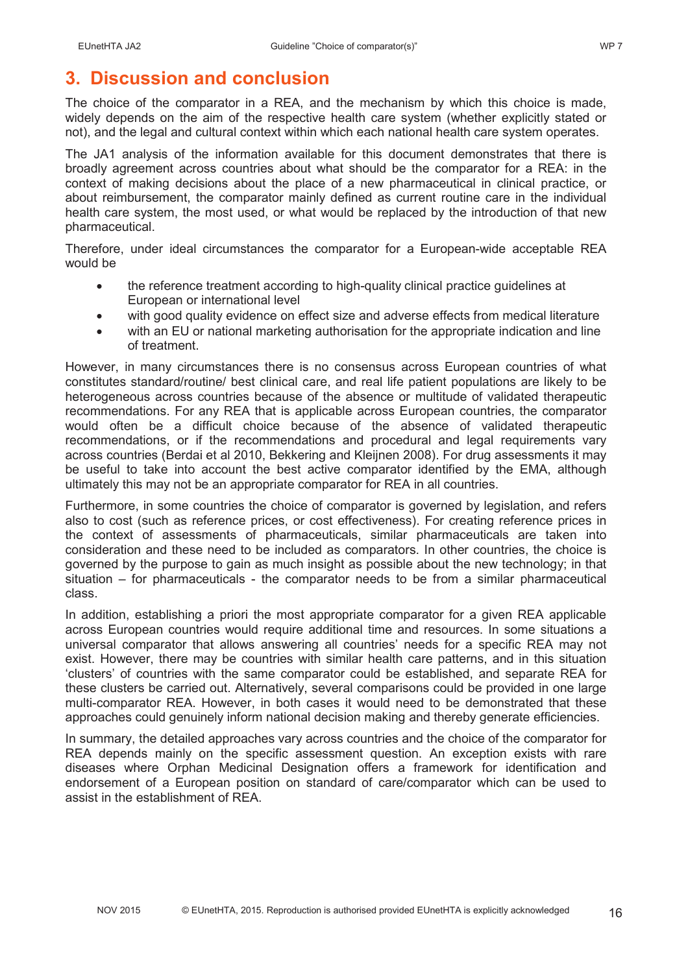# **3. Discussion and conclusion**

The choice of the comparator in a REA, and the mechanism by which this choice is made, widely depends on the aim of the respective health care system (whether explicitly stated or not), and the legal and cultural context within which each national health care system operates.

The JA1 analysis of the information available for this document demonstrates that there is broadly agreement across countries about what should be the comparator for a REA: in the context of making decisions about the place of a new pharmaceutical in clinical practice, or about reimbursement, the comparator mainly defined as current routine care in the individual health care system, the most used, or what would be replaced by the introduction of that new pharmaceutical.

Therefore, under ideal circumstances the comparator for a European-wide acceptable REA would be

- the reference treatment according to high-quality clinical practice guidelines at European or international level
- with good quality evidence on effect size and adverse effects from medical literature
- with an EU or national marketing authorisation for the appropriate indication and line of treatment.

However, in many circumstances there is no consensus across European countries of what constitutes standard/routine/ best clinical care, and real life patient populations are likely to be heterogeneous across countries because of the absence or multitude of validated therapeutic recommendations. For any REA that is applicable across European countries, the comparator would often be a difficult choice because of the absence of validated therapeutic recommendations, or if the recommendations and procedural and legal requirements vary across countries (Berdai et al 2010, Bekkering and Kleijnen 2008). For drug assessments it may be useful to take into account the best active comparator identified by the EMA, although ultimately this may not be an appropriate comparator for REA in all countries.

Furthermore, in some countries the choice of comparator is governed by legislation, and refers also to cost (such as reference prices, or cost effectiveness). For creating reference prices in the context of assessments of pharmaceuticals, similar pharmaceuticals are taken into consideration and these need to be included as comparators. In other countries, the choice is governed by the purpose to gain as much insight as possible about the new technology; in that situation – for pharmaceuticals - the comparator needs to be from a similar pharmaceutical class.

In addition, establishing a priori the most appropriate comparator for a given REA applicable across European countries would require additional time and resources. In some situations a universal comparator that allows answering all countries' needs for a specific REA may not exist. However, there may be countries with similar health care patterns, and in this situation 'clusters' of countries with the same comparator could be established, and separate REA for these clusters be carried out. Alternatively, several comparisons could be provided in one large multi-comparator REA. However, in both cases it would need to be demonstrated that these approaches could genuinely inform national decision making and thereby generate efficiencies.

In summary, the detailed approaches vary across countries and the choice of the comparator for REA depends mainly on the specific assessment question. An exception exists with rare diseases where Orphan Medicinal Designation offers a framework for identification and endorsement of a European position on standard of care/comparator which can be used to assist in the establishment of REA.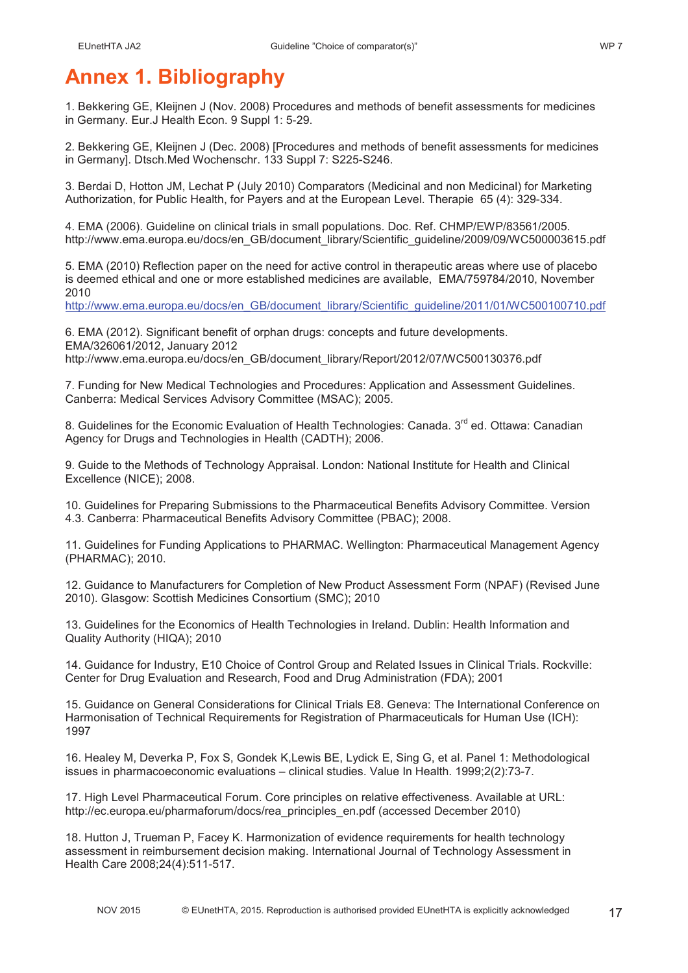# **Annex 1. Bibliography**

1. Bekkering GE, Kleijnen J (Nov. 2008) Procedures and methods of benefit assessments for medicines in Germany. Eur.J Health Econ. 9 Suppl 1: 5-29.

2. Bekkering GE, Kleijnen J (Dec. 2008) [Procedures and methods of benefit assessments for medicines in Germany]. Dtsch.Med Wochenschr. 133 Suppl 7: S225-S246.

3. Berdai D, Hotton JM, Lechat P (July 2010) Comparators (Medicinal and non Medicinal) for Marketing Authorization, for Public Health, for Payers and at the European Level. Therapie 65 (4): 329-334.

4. EMA (2006). Guideline on clinical trials in small populations. Doc. Ref. CHMP/EWP/83561/2005. http://www.ema.europa.eu/docs/en\_GB/document\_library/Scientific\_guideline/2009/09/WC500003615.pdf

5. EMA (2010) Reflection paper on the need for active control in therapeutic areas where use of placebo is deemed ethical and one or more established medicines are available, EMA/759784/2010, November 2010

http://www.ema.europa.eu/docs/en\_GB/document\_library/Scientific\_guideline/2011/01/WC500100710.pdf

6. EMA (2012). Significant benefit of orphan drugs: concepts and future developments. EMA/326061/2012, January 2012 http://www.ema.europa.eu/docs/en\_GB/document\_library/Report/2012/07/WC500130376.pdf

7. Funding for New Medical Technologies and Procedures: Application and Assessment Guidelines. Canberra: Medical Services Advisory Committee (MSAC); 2005.

8. Guidelines for the Economic Evaluation of Health Technologies: Canada, 3<sup>rd</sup> ed. Ottawa: Canadian Agency for Drugs and Technologies in Health (CADTH); 2006.

9. Guide to the Methods of Technology Appraisal. London: National Institute for Health and Clinical Excellence (NICE); 2008.

10. Guidelines for Preparing Submissions to the Pharmaceutical Benefits Advisory Committee. Version 4.3. Canberra: Pharmaceutical Benefits Advisory Committee (PBAC); 2008.

11. Guidelines for Funding Applications to PHARMAC. Wellington: Pharmaceutical Management Agency (PHARMAC); 2010.

12. Guidance to Manufacturers for Completion of New Product Assessment Form (NPAF) (Revised June 2010). Glasgow: Scottish Medicines Consortium (SMC); 2010

13. Guidelines for the Economics of Health Technologies in Ireland. Dublin: Health Information and Quality Authority (HIQA); 2010

14. Guidance for Industry, E10 Choice of Control Group and Related Issues in Clinical Trials. Rockville: Center for Drug Evaluation and Research, Food and Drug Administration (FDA); 2001

15. Guidance on General Considerations for Clinical Trials E8. Geneva: The International Conference on Harmonisation of Technical Requirements for Registration of Pharmaceuticals for Human Use (ICH): 1997

16. Healey M, Deverka P, Fox S, Gondek K,Lewis BE, Lydick E, Sing G, et al. Panel 1: Methodological issues in pharmacoeconomic evaluations – clinical studies. Value In Health. 1999;2(2):73-7.

17. High Level Pharmaceutical Forum. Core principles on relative effectiveness. Available at URL: http://ec.europa.eu/pharmaforum/docs/rea\_principles\_en.pdf (accessed December 2010)

18. Hutton J, Trueman P, Facey K. Harmonization of evidence requirements for health technology assessment in reimbursement decision making. International Journal of Technology Assessment in Health Care 2008;24(4):511-517.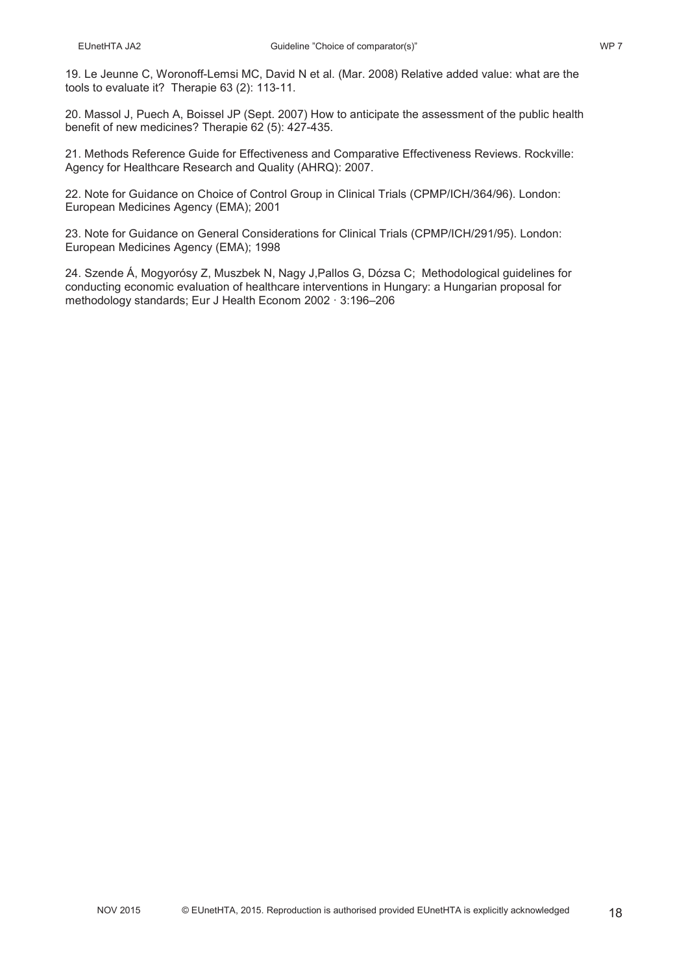19. Le Jeunne C, Woronoff-Lemsi MC, David N et al. (Mar. 2008) Relative added value: what are the tools to evaluate it? Therapie 63 (2): 113-11.

20. Massol J, Puech A, Boissel JP (Sept. 2007) How to anticipate the assessment of the public health benefit of new medicines? Therapie 62 (5): 427-435.

21. Methods Reference Guide for Effectiveness and Comparative Effectiveness Reviews. Rockville: Agency for Healthcare Research and Quality (AHRQ): 2007.

22. Note for Guidance on Choice of Control Group in Clinical Trials (CPMP/ICH/364/96). London: European Medicines Agency (EMA); 2001

23. Note for Guidance on General Considerations for Clinical Trials (CPMP/ICH/291/95). London: European Medicines Agency (EMA); 1998

24. Szende Á, Mogyorósy Z, Muszbek N, Nagy J,Pallos G, Dózsa C; Methodological guidelines for conducting economic evaluation of healthcare interventions in Hungary: a Hungarian proposal for methodology standards; Eur J Health Econom 2002 · 3:196–206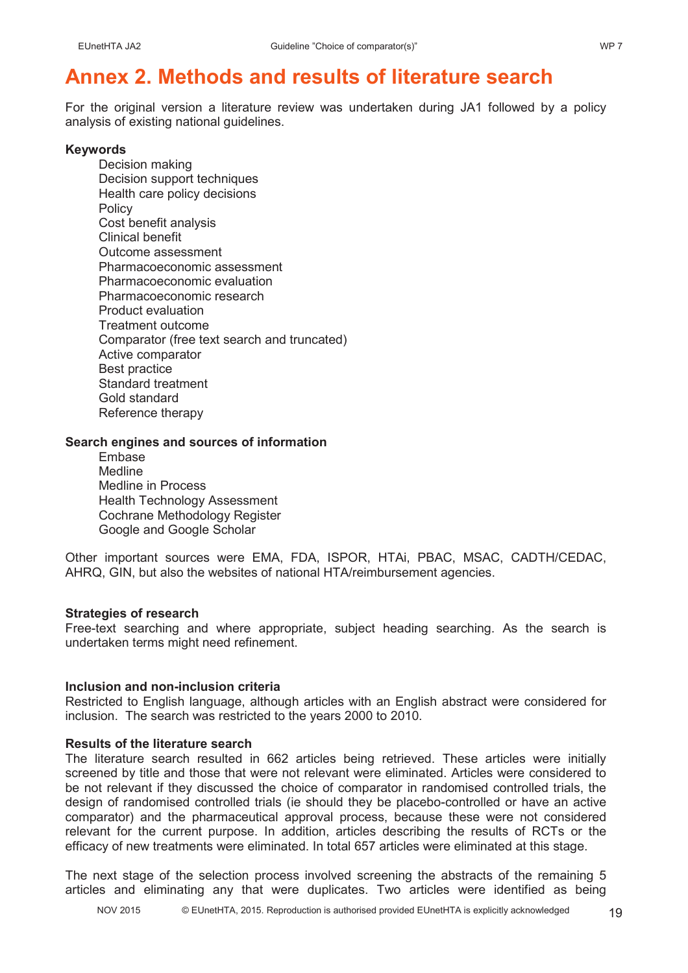# **Annex 2. Methods and results of literature search**

For the original version a literature review was undertaken during JA1 followed by a policy analysis of existing national guidelines.

#### **Keywords**

Decision making Decision support techniques Health care policy decisions **Policy** Cost benefit analysis Clinical benefit Outcome assessment Pharmacoeconomic assessment Pharmacoeconomic evaluation Pharmacoeconomic research Product evaluation Treatment outcome Comparator (free text search and truncated) Active comparator Best practice Standard treatment Gold standard Reference therapy

#### **Search engines and sources of information**

Embase **Medline** Medline in Process Health Technology Assessment Cochrane Methodology Register Google and Google Scholar

Other important sources were EMA, FDA, ISPOR, HTAi, PBAC, MSAC, CADTH/CEDAC, AHRQ, GIN, but also the websites of national HTA/reimbursement agencies.

### **Strategies of research**

Free-text searching and where appropriate, subject heading searching. As the search is undertaken terms might need refinement.

### **Inclusion and non-inclusion criteria**

Restricted to English language, although articles with an English abstract were considered for inclusion. The search was restricted to the years 2000 to 2010.

#### **Results of the literature search**

The literature search resulted in 662 articles being retrieved. These articles were initially screened by title and those that were not relevant were eliminated. Articles were considered to be not relevant if they discussed the choice of comparator in randomised controlled trials, the design of randomised controlled trials (ie should they be placebo-controlled or have an active comparator) and the pharmaceutical approval process, because these were not considered relevant for the current purpose. In addition, articles describing the results of RCTs or the efficacy of new treatments were eliminated. In total 657 articles were eliminated at this stage.

The next stage of the selection process involved screening the abstracts of the remaining 5 articles and eliminating any that were duplicates. Two articles were identified as being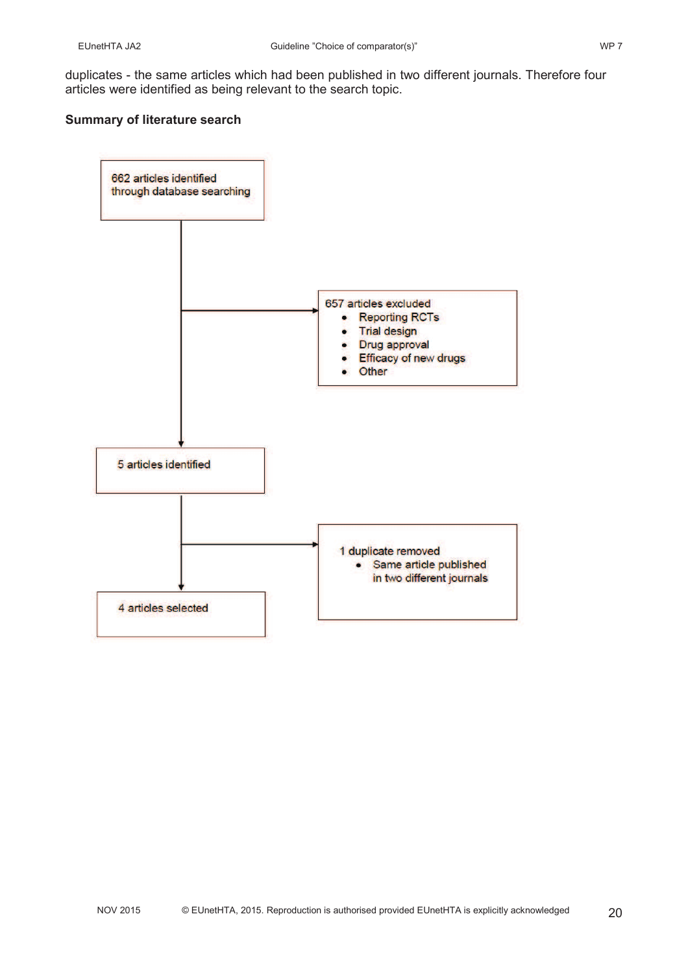duplicates - the same articles which had been published in two different journals. Therefore four articles were identified as being relevant to the search topic.

#### **Summary of literature search**

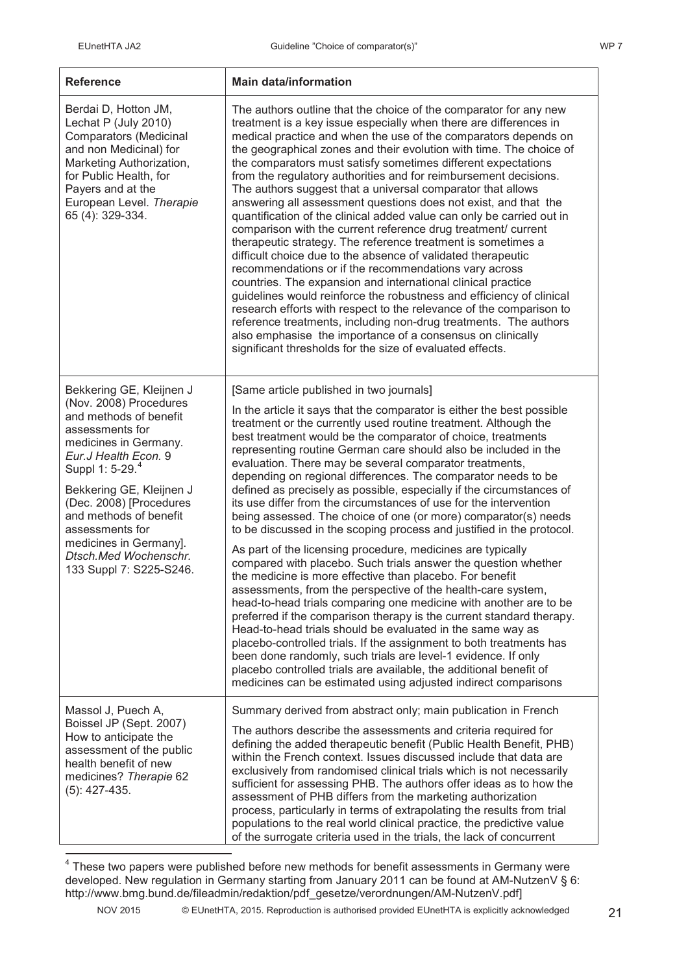| <b>Reference</b>                                                                                                                                                                                                                                                                                                                                                  | <b>Main data/information</b>                                                                                                                                                                                                                                                                                                                                                                                                                                                                                                                                                                                                                                                                                                                                                                                                                                                                                                                                                                                                                                                                                                                                                                                                                                                                                                                                                                                                                                                                          |
|-------------------------------------------------------------------------------------------------------------------------------------------------------------------------------------------------------------------------------------------------------------------------------------------------------------------------------------------------------------------|-------------------------------------------------------------------------------------------------------------------------------------------------------------------------------------------------------------------------------------------------------------------------------------------------------------------------------------------------------------------------------------------------------------------------------------------------------------------------------------------------------------------------------------------------------------------------------------------------------------------------------------------------------------------------------------------------------------------------------------------------------------------------------------------------------------------------------------------------------------------------------------------------------------------------------------------------------------------------------------------------------------------------------------------------------------------------------------------------------------------------------------------------------------------------------------------------------------------------------------------------------------------------------------------------------------------------------------------------------------------------------------------------------------------------------------------------------------------------------------------------------|
| Berdai D, Hotton JM,<br>Lechat P (July 2010)<br>Comparators (Medicinal<br>and non Medicinal) for<br>Marketing Authorization,<br>for Public Health, for<br>Payers and at the<br>European Level. Therapie<br>65 (4): 329-334.                                                                                                                                       | The authors outline that the choice of the comparator for any new<br>treatment is a key issue especially when there are differences in<br>medical practice and when the use of the comparators depends on<br>the geographical zones and their evolution with time. The choice of<br>the comparators must satisfy sometimes different expectations<br>from the regulatory authorities and for reimbursement decisions.<br>The authors suggest that a universal comparator that allows<br>answering all assessment questions does not exist, and that the<br>quantification of the clinical added value can only be carried out in<br>comparison with the current reference drug treatment/ current<br>therapeutic strategy. The reference treatment is sometimes a<br>difficult choice due to the absence of validated therapeutic<br>recommendations or if the recommendations vary across<br>countries. The expansion and international clinical practice<br>guidelines would reinforce the robustness and efficiency of clinical<br>research efforts with respect to the relevance of the comparison to<br>reference treatments, including non-drug treatments. The authors<br>also emphasise the importance of a consensus on clinically<br>significant thresholds for the size of evaluated effects.                                                                                                                                                                                              |
| Bekkering GE, Kleijnen J<br>(Nov. 2008) Procedures<br>and methods of benefit<br>assessments for<br>medicines in Germany.<br>Eur.J Health Econ. 9<br>Suppl 1: 5-29. <sup>4</sup><br>Bekkering GE, Kleijnen J<br>(Dec. 2008) [Procedures<br>and methods of benefit<br>assessments for<br>medicines in Germany].<br>Dtsch.Med Wochenschr.<br>133 Suppl 7: S225-S246. | [Same article published in two journals]<br>In the article it says that the comparator is either the best possible<br>treatment or the currently used routine treatment. Although the<br>best treatment would be the comparator of choice, treatments<br>representing routine German care should also be included in the<br>evaluation. There may be several comparator treatments,<br>depending on regional differences. The comparator needs to be<br>defined as precisely as possible, especially if the circumstances of<br>its use differ from the circumstances of use for the intervention<br>being assessed. The choice of one (or more) comparator(s) needs<br>to be discussed in the scoping process and justified in the protocol.<br>As part of the licensing procedure, medicines are typically<br>compared with placebo. Such trials answer the question whether<br>the medicine is more effective than placebo. For benefit<br>assessments, from the perspective of the health-care system,<br>head-to-head trials comparing one medicine with another are to be<br>preferred if the comparison therapy is the current standard therapy.<br>Head-to-head trials should be evaluated in the same way as<br>placebo-controlled trials. If the assignment to both treatments has<br>been done randomly, such trials are level-1 evidence. If only<br>placebo controlled trials are available, the additional benefit of<br>medicines can be estimated using adjusted indirect comparisons |
| Massol J, Puech A,<br>Boissel JP (Sept. 2007)<br>How to anticipate the<br>assessment of the public<br>health benefit of new<br>medicines? Therapie 62<br>$(5)$ : 427-435.                                                                                                                                                                                         | Summary derived from abstract only; main publication in French<br>The authors describe the assessments and criteria required for<br>defining the added therapeutic benefit (Public Health Benefit, PHB)<br>within the French context. Issues discussed include that data are<br>exclusively from randomised clinical trials which is not necessarily<br>sufficient for assessing PHB. The authors offer ideas as to how the<br>assessment of PHB differs from the marketing authorization<br>process, particularly in terms of extrapolating the results from trial<br>populations to the real world clinical practice, the predictive value<br>of the surrogate criteria used in the trials, the lack of concurrent                                                                                                                                                                                                                                                                                                                                                                                                                                                                                                                                                                                                                                                                                                                                                                                  |

 $4$  These two papers were published before new methods for benefit assessments in Germany were developed. New regulation in Germany starting from January 2011 can be found at AM-NutzenV § 6: http://www.bmg.bund.de/fileadmin/redaktion/pdf\_gesetze/verordnungen/AM-NutzenV.pdf]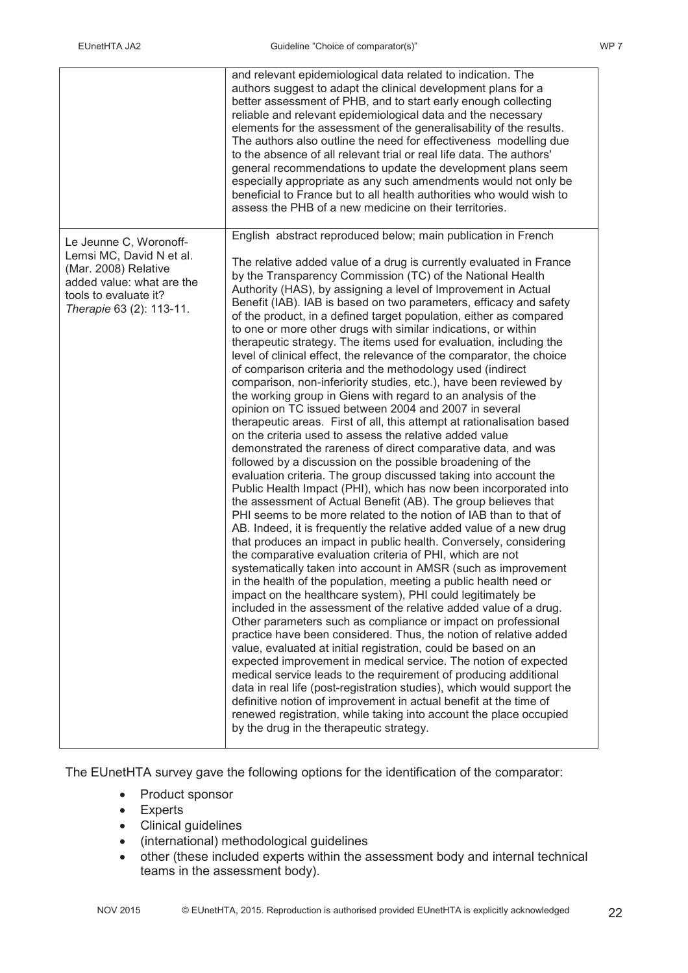|                                                                                                                                                              | and relevant epidemiological data related to indication. The<br>authors suggest to adapt the clinical development plans for a<br>better assessment of PHB, and to start early enough collecting<br>reliable and relevant epidemiological data and the necessary<br>elements for the assessment of the generalisability of the results.<br>The authors also outline the need for effectiveness modelling due<br>to the absence of all relevant trial or real life data. The authors'<br>general recommendations to update the development plans seem<br>especially appropriate as any such amendments would not only be<br>beneficial to France but to all health authorities who would wish to<br>assess the PHB of a new medicine on their territories.                                                                                                                                                                                                                                                                                                                                                                                                                                                                                                                                                                                                                                                                                                                                                                                                                                                                                                                                                                                                                                                                                                                                                                                                                                                                                                                                                                                   |
|--------------------------------------------------------------------------------------------------------------------------------------------------------------|--------------------------------------------------------------------------------------------------------------------------------------------------------------------------------------------------------------------------------------------------------------------------------------------------------------------------------------------------------------------------------------------------------------------------------------------------------------------------------------------------------------------------------------------------------------------------------------------------------------------------------------------------------------------------------------------------------------------------------------------------------------------------------------------------------------------------------------------------------------------------------------------------------------------------------------------------------------------------------------------------------------------------------------------------------------------------------------------------------------------------------------------------------------------------------------------------------------------------------------------------------------------------------------------------------------------------------------------------------------------------------------------------------------------------------------------------------------------------------------------------------------------------------------------------------------------------------------------------------------------------------------------------------------------------------------------------------------------------------------------------------------------------------------------------------------------------------------------------------------------------------------------------------------------------------------------------------------------------------------------------------------------------------------------------------------------------------------------------------------------------------------------|
| Le Jeunne C, Woronoff-<br>Lemsi MC, David N et al.<br>(Mar. 2008) Relative<br>added value: what are the<br>tools to evaluate it?<br>Therapie 63 (2): 113-11. | English abstract reproduced below; main publication in French<br>The relative added value of a drug is currently evaluated in France<br>by the Transparency Commission (TC) of the National Health<br>Authority (HAS), by assigning a level of Improvement in Actual<br>Benefit (IAB). IAB is based on two parameters, efficacy and safety<br>of the product, in a defined target population, either as compared<br>to one or more other drugs with similar indications, or within<br>therapeutic strategy. The items used for evaluation, including the<br>level of clinical effect, the relevance of the comparator, the choice<br>of comparison criteria and the methodology used (indirect<br>comparison, non-inferiority studies, etc.), have been reviewed by<br>the working group in Giens with regard to an analysis of the<br>opinion on TC issued between 2004 and 2007 in several<br>therapeutic areas. First of all, this attempt at rationalisation based<br>on the criteria used to assess the relative added value<br>demonstrated the rareness of direct comparative data, and was<br>followed by a discussion on the possible broadening of the<br>evaluation criteria. The group discussed taking into account the<br>Public Health Impact (PHI), which has now been incorporated into<br>the assessment of Actual Benefit (AB). The group believes that<br>PHI seems to be more related to the notion of IAB than to that of<br>AB. Indeed, it is frequently the relative added value of a new drug<br>that produces an impact in public health. Conversely, considering<br>the comparative evaluation criteria of PHI, which are not<br>systematically taken into account in AMSR (such as improvement<br>in the health of the population, meeting a public health need or<br>impact on the healthcare system), PHI could legitimately be<br>included in the assessment of the relative added value of a drug.<br>Other parameters such as compliance or impact on professional<br>practice have been considered. Thus, the notion of relative added<br>value, evaluated at initial registration, could be based on an |
|                                                                                                                                                              | expected improvement in medical service. The notion of expected<br>medical service leads to the requirement of producing additional<br>data in real life (post-registration studies), which would support the<br>definitive notion of improvement in actual benefit at the time of<br>renewed registration, while taking into account the place occupied<br>by the drug in the therapeutic strategy.                                                                                                                                                                                                                                                                                                                                                                                                                                                                                                                                                                                                                                                                                                                                                                                                                                                                                                                                                                                                                                                                                                                                                                                                                                                                                                                                                                                                                                                                                                                                                                                                                                                                                                                                       |

The EUnetHTA survey gave the following options for the identification of the comparator:

- Product sponsor
- Experts
- Clinical guidelines
- (international) methodological guidelines
- other (these included experts within the assessment body and internal technical teams in the assessment body).